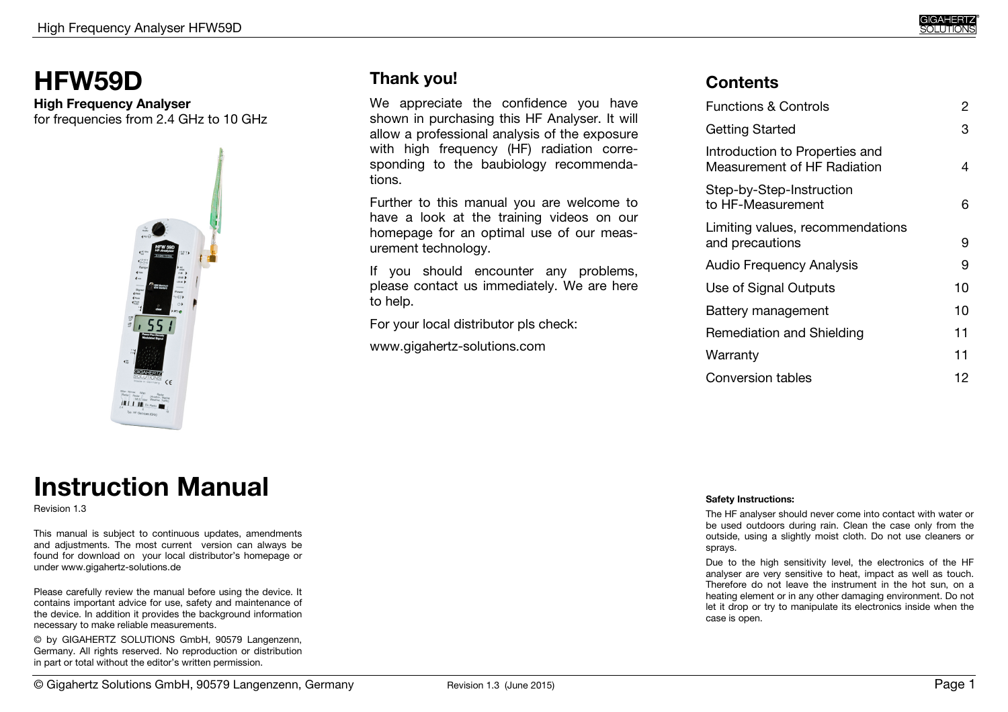# **HFW59D**

#### **High Frequency Analyser** for frequencies from 2.4 GHz to 10 GHz



# **Thank you!**

We appreciate the confidence you have shown in purchasing this HF Analyser. It will allow a professional analysis of the exposure with high frequency (HF) radiation corresponding to the baubiology recommendations.

Further to this manual you are welcome to have a look at the training videos on our homepage for an optimal use of our measurement technology.

If you should encounter any problems, please contact us immediately. We are here to help.

For your local distributor pls check:

www.gigahertz-solutions.com

## **Contents**

| <b>Functions &amp; Controls</b>                               | 2  |
|---------------------------------------------------------------|----|
| Getting Started                                               | 3  |
| Introduction to Properties and<br>Measurement of HF Radiation | 4  |
| Step-by-Step-Instruction<br>to HF-Measurement                 | 6  |
| Limiting values, recommendations<br>and precautions           | 9  |
| <b>Audio Frequency Analysis</b>                               | 9  |
| Use of Signal Outputs                                         | 10 |
| Battery management                                            | 10 |
| Remediation and Shielding                                     | 11 |
| Warranty                                                      | 11 |
| Conversion tables                                             | 12 |

# **Instruction Manual**

Revision 1.3

This manual is subject to continuous updates, amendments and adjustments. The most current version can always be found for download on your local distributor's homepage or under www.gigahertz-solutions.de

Please carefully review the manual before using the device. It contains important advice for use, safety and maintenance of the device. In addition it provides the background information necessary to make reliable measurements.

© by GIGAHERTZ SOLUTIONS GmbH, 90579 Langenzenn, Germany. All rights reserved. No reproduction or distribution in part or total without the editor's written permission.

#### **Safety Instructions:**

The HF analyser should never come into contact with water or be used outdoors during rain. Clean the case only from the outside, using a slightly moist cloth. Do not use cleaners or sprays.

Due to the high sensitivity level, the electronics of the HF analyser are very sensitive to heat, impact as well as touch. Therefore do not leave the instrument in the hot sun, on a heating element or in any other damaging environment. Do not let it drop or try to manipulate its electronics inside when the case is open.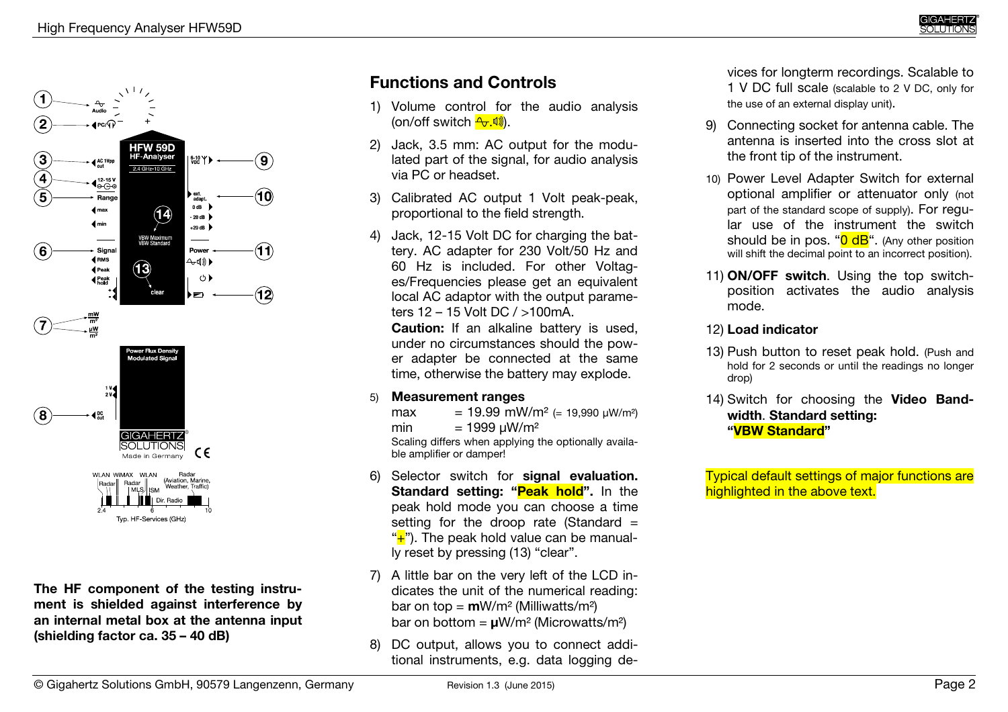

**The HF component of the testing instrument is shielded against interference by an internal metal box at the antenna input (shielding factor ca. 35 – 40 dB)**

# **Functions and Controls**

- 1) Volume control for the audio analysis (on/off switch <mark><del>f.</del>.呦</mark>).
- 2) Jack, 3.5 mm: AC output for the modulated part of the signal, for audio analysis via PC or headset.
- 3) Calibrated AC output 1 Volt peak-peak, proportional to the field strength.
- 4) Jack, 12-15 Volt DC for charging the battery. AC adapter for 230 Volt/50 Hz and 60 Hz is included. For other Voltages/Frequencies please get an equivalent local AC adaptor with the output parameters 12 – 15 Volt DC / >100mA.

 **Caution:** If an alkaline battery is used, under no circumstances should the power adapter be connected at the same time, otherwise the battery may explode.

#### 5)**Measurement ranges**

- max = 19.99 mW/m² (= 19,990 µW/m²)
- min  $= 1999 \mu W/m^2$

 Scaling differs when applying the optionally available amplifier or damper!

- 6) Selector switch for **signal evaluation. Standard setting: "Peak hold".** In the peak hold mode you can choose a time setting for the droop rate (Standard = "+"). The peak hold value can be manually reset by pressing (13) "clear".
- 7) A little bar on the very left of the LCD indicates the unit of the numerical reading: bar on top = **m**W/m² (Milliwatts/m²) bar on bottom = **µ**W/m² (Microwatts/m²)
- 8) DC output, allows you to connect additional instruments, e.g. data logging de-

vices for longterm recordings. Scalable to<br>1 V DC full scale (scalable to 2 V DC, only for<br>the use of an external display unit).<br>9) Connecting socket for antenna cable. The

- Connecting socket for antenna cable. The antenna is inserted into the cross slot at the front tip of the instrument.
- 10) Power Level Adapter Switch for external optional amplifier or attenuator only (not part of the standard scope of supply). For regular use of the instrument the switch should be in pos. " $0$  dB". (Any other position will shift the decimal point to an incorrect position).
- 11) **ON/OFF switch**. Using the top switchposition activates the audio analysis mode.<br>12) Load indicator

#### **Load indicator**

- 13) Push button to reset peak hold. (Push and hold for 2 seconds or until the readings no longer drop)
- 14) Switch for choosing the **Video Bandwidth**. **Standard setting: "VBW Standard"**

Typical default settings of major functions are highlighted in the above text.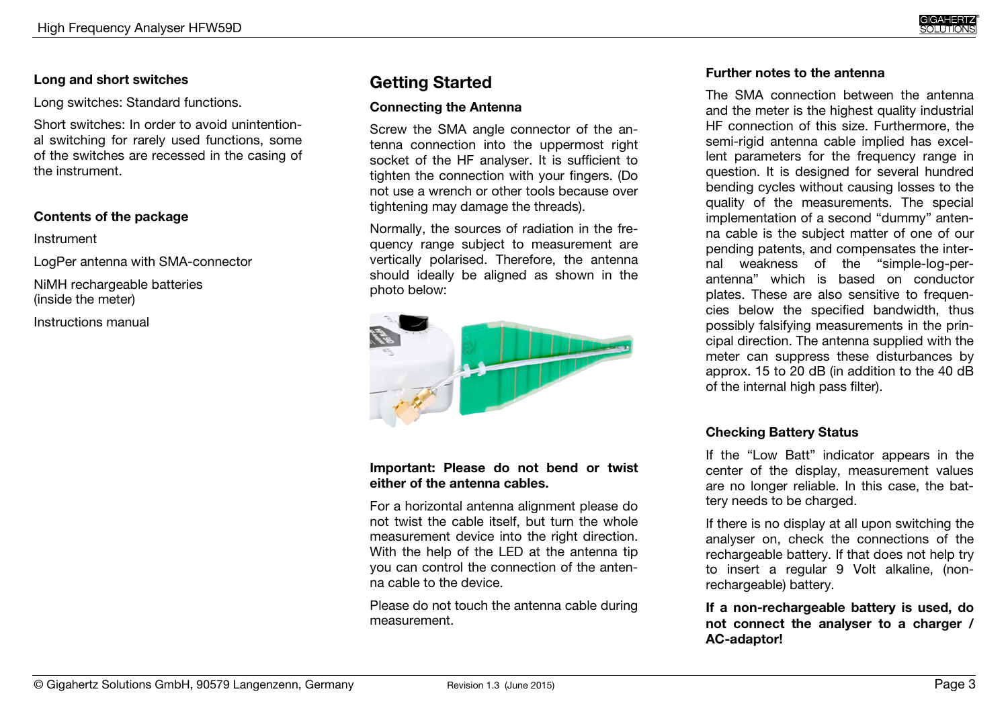#### **Long and short switches**

Long switches: Standard functions.

Short switches: In order to avoid unintentional switching for rarely used functions, some of the switches are recessed in the casing of the instrument.

#### **Contents of the package**

#### Instrument

LogPer antenna with SMA-connector

NiMH rechargeable batteries (inside the meter)

Instructions manual

# **Getting Started**

#### **Connecting the Antenna**

Screw the SMA angle connector of the antenna connection into the uppermost right socket of the HF analyser. It is sufficient to tighten the connection with your fingers. (Do not use a wrench or other tools because over tightening may damage the threads).

Normally, the sources of radiation in the frequency range subject to measurement are vertically polarised. Therefore, the antenna should ideally be aligned as shown in the photo below:



#### **Important: Please do not bend or twist either of the antenna cables.**

For a horizontal antenna alignment please do not twist the cable itself, but turn the whole measurement device into the right direction. With the help of the LED at the antenna tip you can control the connection of the antenna cable to the device.

Please do not touch the antenna cable during measurement.

#### **Further notes to the antenna**

The SMA connection between the antenna and the meter is the highest quality industrial HF connection of this size. Furthermore, the semi-rigid antenna cable implied has excellent parameters for the frequency range in question. It is designed for several hundred bending cycles without causing losses to the quality of the measurements. The special implementation of a second "dummy" antenna cable is the subject matter of one of our pending patents, and compensates the internal weakness of the "simple-log-perantenna" which is based on conductor plates. These are also sensitive to frequencies below the specified bandwidth, thus possibly falsifying measurements in the principal direction. The antenna supplied with the meter can suppress these disturbances by approx. 15 to 20 dB (in addition to the 40 dB of the internal high pass filter).

#### **Checking Battery Status**

If the "Low Batt" indicator appears in the center of the display, measurement values are no longer reliable. In this case, the battery needs to be charged.

If there is no display at all upon switching the analyser on, check the connections of the rechargeable battery. If that does not help try to insert a regular 9 Volt alkaline, (nonrechargeable) battery.

**If a non-rechargeable battery is used, do not connect the analyser to a charger / AC-adaptor!**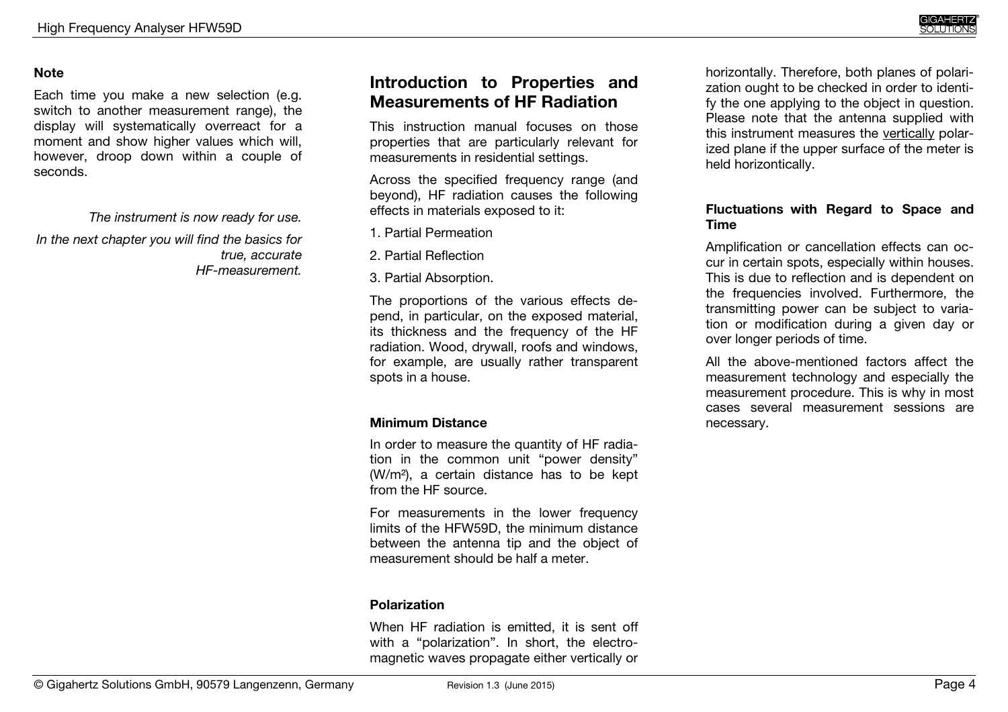horizontally. Therefore, both planes of polarization ought to be checked in order to identify the one applying to the object in question. Please note that the antenna supplied with this instrument measures the vertically polarized plane if the upper surface of the meter is

**Fluctuations with Regard to Space and** 

Amplification or cancellation effects can occur in certain spots, especially within houses. This is due to reflection and is dependent on the frequencies involved. Furthermore, the transmitting power can be subject to variation or modification during a given day or

All the above-mentioned factors affect the measurement technology and especially the measurement procedure. This is why in most cases several measurement sessions are

held horizontically.

over longer periods of time.

**Time** 

necessary.

#### **Note**

Each time you make a new selection (e.g. switch to another measurement range), the display will systematically overreact for a moment and show higher values which will, however, droop down within a couple of seconds.

*The instrument is now ready for use.* 

*In the next chapter you will find the basics for true, accurate HF-measurement.* 

# **Introduction to Properties and Measurements of HF Radiation**

This instruction manual focuses on those properties that are particularly relevant for measurements in residential settings.

Across the specified frequency range (and beyond), HF radiation causes the following effects in materials exposed to it:

- 1. Partial Permeation
- 2. Partial Reflection
- 3. Partial Absorption.

The proportions of the various effects depend, in particular, on the exposed material, its thickness and the frequency of the HF radiation. Wood, drywall, roofs and windows, for example, are usually rather transparent spots in a house.

#### **Minimum Distance**

In order to measure the quantity of HF radiation in the common unit "power density" (W/m²), a certain distance has to be kept from the HF source.

For measurements in the lower frequency limits of the HFW59D, the minimum distance between the antenna tip and the object of measurement should be half a meter.

#### **Polarization**

When HF radiation is emitted, it is sent off with a "polarization". In short, the electromagnetic waves propagate either vertically or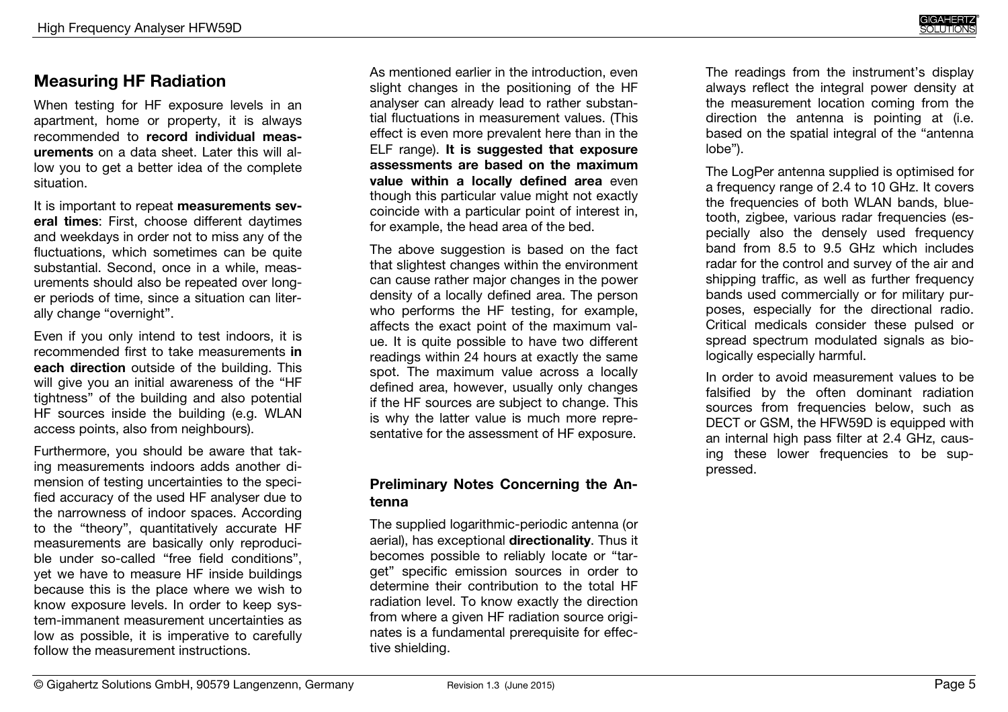# **Measuring HF Radiation**

When testing for HF exposure levels in an apartment, home or property, it is always recommended to **record individual measurements** on a data sheet. Later this will allow you to get a better idea of the complete situation.

It is important to repeat **measurements several times**: First, choose different daytimes and weekdays in order not to miss any of the fluctuations, which sometimes can be quite substantial. Second, once in a while, measurements should also be repeated over longer periods of time, since a situation can literally change "overnight".

Even if you only intend to test indoors, it is recommended first to take measurements **in each direction** outside of the building. This will give you an initial awareness of the "HF tightness" of the building and also potential HF sources inside the building (e.g. WLAN access points, also from neighbours).

Furthermore, you should be aware that taking measurements indoors adds another dimension of testing uncertainties to the specified accuracy of the used HF analyser due to the narrowness of indoor spaces. According to the "theory", quantitatively accurate HF measurements are basically only reproducible under so-called "free field conditions", yet we have to measure HF inside buildings because this is the place where we wish to know exposure levels. In order to keep system-immanent measurement uncertainties as low as possible, it is imperative to carefully follow the measurement instructions.

As mentioned earlier in the introduction, even slight changes in the positioning of the HF analyser can already lead to rather substantial fluctuations in measurement values. (This effect is even more prevalent here than in the ELF range). **It is suggested that exposure assessments are based on the maximum value within a locally defined area** even though this particular value might not exactly coincide with a particular point of interest in, for example, the head area of the bed.

The above suggestion is based on the fact that slightest changes within the environment can cause rather major changes in the power density of a locally defined area. The person who performs the HF testing, for example, affects the exact point of the maximum value. It is quite possible to have two different readings within 24 hours at exactly the same spot. The maximum value across a locally defined area, however, usually only changes if the HF sources are subject to change. This is why the latter value is much more representative for the assessment of HF exposure.

#### **Preliminary Notes Concerning the Antenna**

The supplied logarithmic-periodic antenna (or aerial), has exceptional **directionality**. Thus it becomes possible to reliably locate or "target" specific emission sources in order to determine their contribution to the total HF radiation level. To know exactly the direction from where a given HF radiation source originates is a fundamental prerequisite for effective shielding.

The readings from the instrument's display always reflect the integral power density at the measurement location coming from the direction the antenna is pointing at (i.e. based on the spatial integral of the "antenna lobe").

The LogPer antenna supplied is optimised for a frequency range of 2.4 to 10 GHz. It covers the frequencies of both WLAN bands, bluetooth, zigbee, various radar frequencies (especially also the densely used frequency band from 8.5 to 9.5 GHz which includes radar for the control and survey of the air and shipping traffic, as well as further frequency bands used commercially or for military purposes, especially for the directional radio. Critical medicals consider these pulsed or spread spectrum modulated signals as biologically especially harmful.

In order to avoid measurement values to be falsified by the often dominant radiation sources from frequencies below, such as DECT or GSM, the HFW59D is equipped with an internal high pass filter at 2.4 GHz, causing these lower frequencies to be suppressed.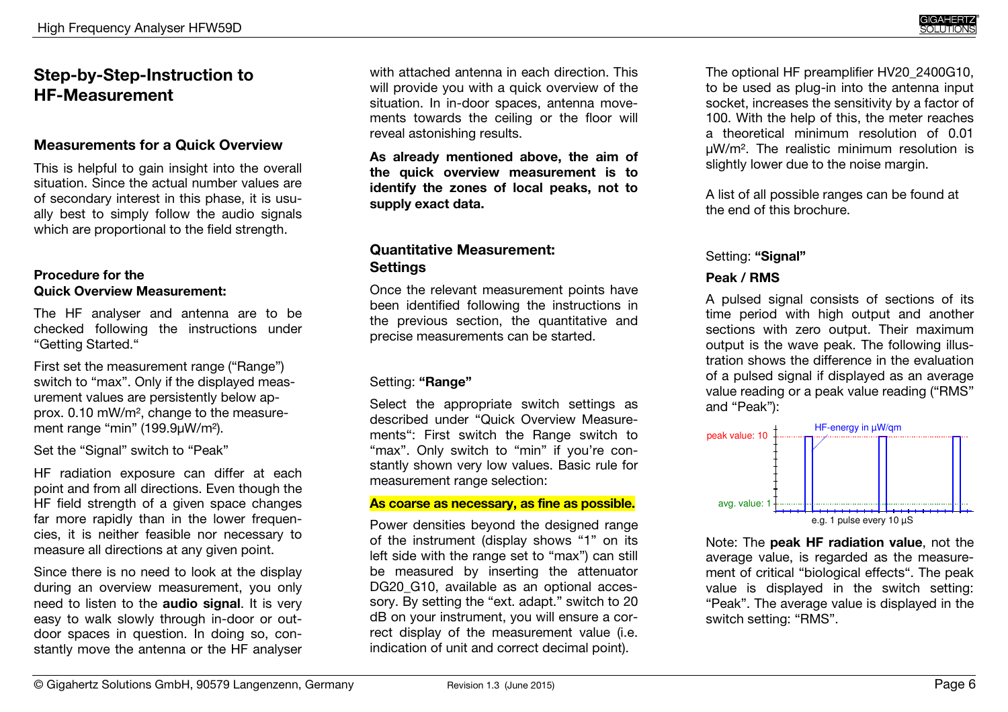# **Step-by-Step-Instruction to HF-Measurement**

#### **Measurements for a Quick Overview**

This is helpful to gain insight into the overall situation. Since the actual number values are of secondary interest in this phase, it is usually best to simply follow the audio signals which are proportional to the field strength.

#### **Procedure for the Quick Overview Measurement:**

The HF analyser and antenna are to be checked following the instructions under "Getting Started."

First set the measurement range ("Range") switch to "max". Only if the displayed measurement values are persistently below approx. 0.10 mW/m², change to the measurement range "min" (199.9µW/m²).

Set the "Signal" switch to "Peak"

HF radiation exposure can differ at each point and from all directions. Even though the HF field strength of a given space changes far more rapidly than in the lower frequencies, it is neither feasible nor necessary to measure all directions at any given point.

Since there is no need to look at the display during an overview measurement, you only need to listen to the **audio signal**. It is very easy to walk slowly through in-door or outdoor spaces in question. In doing so, constantly move the antenna or the HF analyser

with attached antenna in each direction. This will provide you with a quick overview of the situation. In in-door spaces, antenna movements towards the ceiling or the floor will reveal astonishing results.

**As already mentioned above, the aim of the quick overview measurement is to identify the zones of local peaks, not to supply exact data.** 

#### **Quantitative Measurement: Settings**

Once the relevant measurement points have been identified following the instructions in the previous section, the quantitative and precise measurements can be started.

#### Setting: **"Range"**

Select the appropriate switch settings as described under "Quick Overview Measurements": First switch the Range switch to "max". Only switch to "min" if you're constantly shown very low values. Basic rule for measurement range selection:

#### **As coarse as necessary, as fine as possible.**

Power densities beyond the designed range of the instrument (display shows "1" on its left side with the range set to "max") can still be measured by inserting the attenuator DG20\_G10, available as an optional accessory. By setting the "ext. adapt." switch to 20 dB on your instrument, you will ensure a correct display of the measurement value (i.e. indication of unit and correct decimal point).

The optional HF preamplifier HV20\_2400G10, to be used as plug-in into the antenna input socket, increases the sensitivity by a factor of 100. With the help of this, the meter reaches a theoretical minimum resolution of 0.01 µW/m². The realistic minimum resolution is slightly lower due to the noise margin.

A list of all possible ranges can be found at the end of this brochure.

#### Setting: **"Signal"**

#### **Peak / RMS**

A pulsed signal consists of sections of its time period with high output and another sections with zero output. Their maximum output is the wave peak. The following illustration shows the difference in the evaluation of a pulsed signal if displayed as an average value reading or a peak value reading ("RMS" and "Peak"):



Note: The **peak HF radiation value**, not the average value, is regarded as the measurement of critical "biological effects". The peak value is displayed in the switch setting: "Peak". The average value is displayed in the switch setting: "RMS".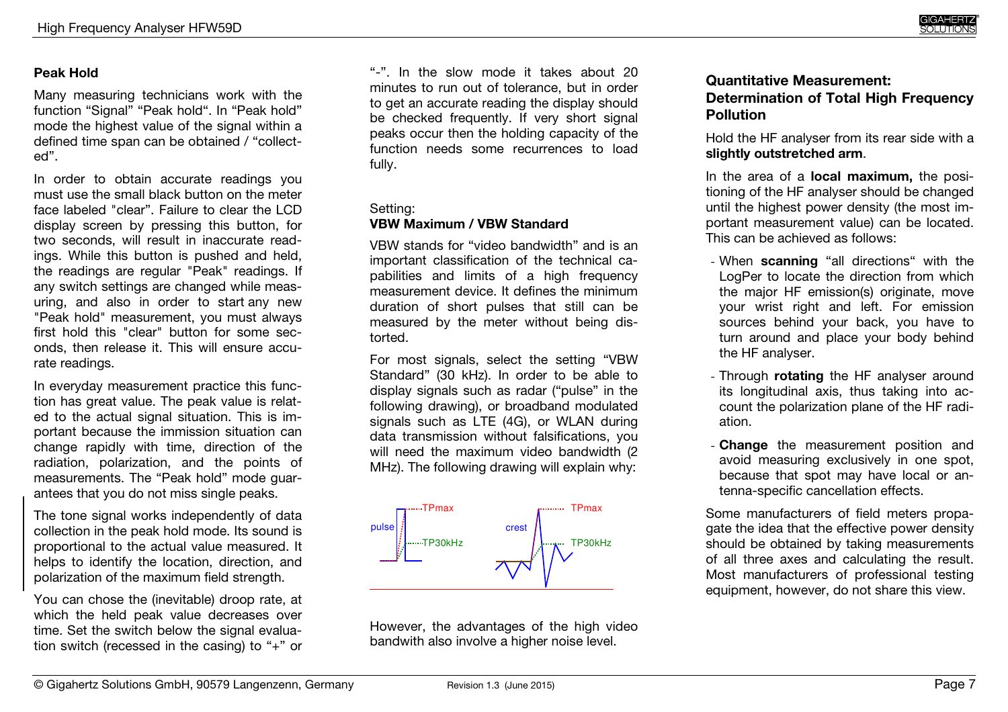#### **Peak Hold**

Many measuring technicians work with the function "Signal" "Peak hold". In "Peak hold" mode the highest value of the signal within a defined time span can be obtained / "collected".

In order to obtain accurate readings you must use the small black button on the meter face labeled "clear". Failure to clear the LCD display screen by pressing this button, for two seconds, will result in inaccurate readings. While this button is pushed and held, the readings are regular "Peak" readings. If any switch settings are changed while measuring, and also in order to start any new "Peak hold" measurement, you must always first hold this "clear" button for some seconds, then release it. This will ensure accurate readings.

In everyday measurement practice this function has great value. The peak value is related to the actual signal situation. This is important because the immission situation can change rapidly with time, direction of the radiation, polarization, and the points of measurements. The "Peak hold" mode guarantees that you do not miss single peaks.

The tone signal works independently of data collection in the peak hold mode. Its sound is proportional to the actual value measured. It helps to identify the location, direction, and polarization of the maximum field strength.

You can chose the (inevitable) droop rate, at which the held peak value decreases over time. Set the switch below the signal evaluation switch (recessed in the casing) to "+" or

"-". In the slow mode it takes about 20 minutes to run out of tolerance, but in order to get an accurate reading the display should be checked frequently. If very short signal peaks occur then the holding capacity of the function needs some recurrences to load fully.

#### Setting:

#### **VBW Maximum / VBW Standard**

VBW stands for "video bandwidth" and is an important classification of the technical capabilities and limits of a high frequency measurement device. It defines the minimum duration of short pulses that still can be measured by the meter without being distorted.

For most signals, select the setting "VBW Standard" (30 kHz). In order to be able to display signals such as radar ("pulse" in the following drawing), or broadband modulated signals such as LTE (4G), or WLAN during data transmission without falsifications, you will need the maximum video bandwidth (2 MHz). The following drawing will explain why:



However, the advantages of the high video bandwith also involve a higher noise level.

#### **Quantitative Measurement: Determination of Total High Frequency Pollution**

Hold the HF analyser from its rear side with a **slightly outstretched arm**.

In the area of a **local maximum,** the positioning of the HF analyser should be changed until the highest power density (the most important measurement value) can be located. This can be achieved as follows:

- When **scanning** "all directions" with the LogPer to locate the direction from which the major HF emission(s) originate, move your wrist right and left. For emission sources behind your back, you have to turn around and place your body behind the HF analyser.
- Through **rotating** the HF analyser around its longitudinal axis, thus taking into account the polarization plane of the HF radiation.
- **Change** the measurement position and avoid measuring exclusively in one spot, because that spot may have local or antenna-specific cancellation effects.

Some manufacturers of field meters propagate the idea that the effective power density should be obtained by taking measurements of all three axes and calculating the result. Most manufacturers of professional testing equipment, however, do not share this view.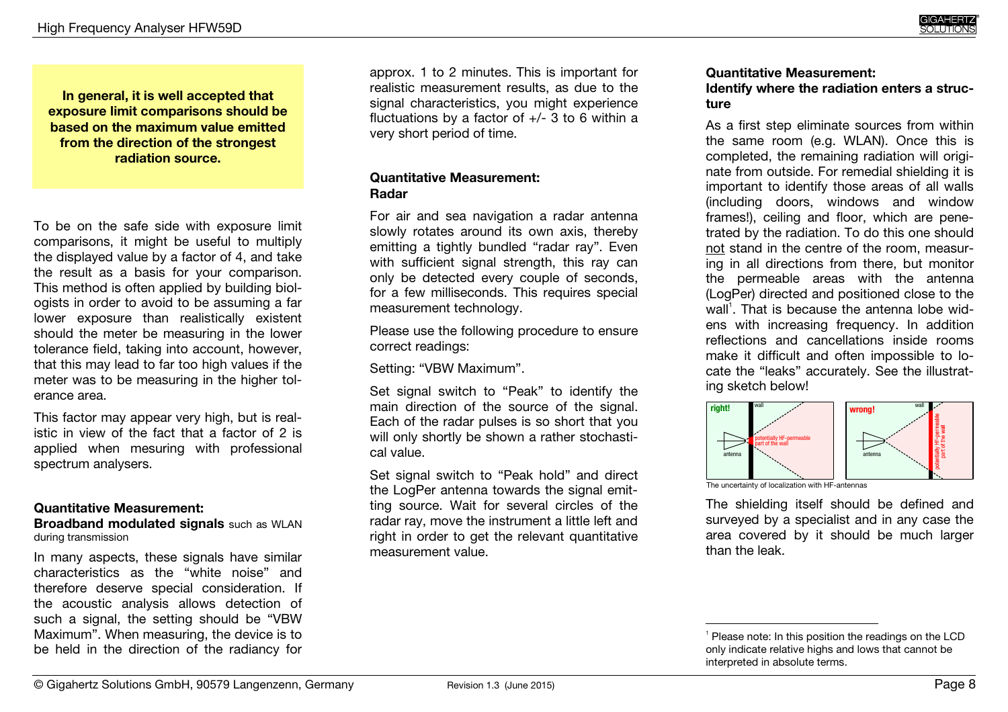**exposure limit comparisons should be based on the maximum value emitted from the direction of the strongest radiation source.** 

To be on the safe side with exposure limit comparisons, it might be useful to multiply the displayed value by a factor of 4, and take the result as a basis for your comparison. This method is often applied by building biologists in order to avoid to be assuming a far lower exposure than realistically existent should the meter be measuring in the lower tolerance field, taking into account, however, that this may lead to far too high values if the meter was to be measuring in the higher tolerance area.

This factor may appear very high, but is realistic in view of the fact that a factor of 2 is applied when mesuring with professional spectrum analysers.

#### **Quantitative Measurement:**

 **Broadband modulated signals** such as WLAN during transmission

In many aspects, these signals have similar characteristics as the "white noise" and therefore deserve special consideration. If the acoustic analysis allows detection of such a signal, the setting should be "VBW Maximum". When measuring, the device is to be held in the direction of the radiancy for

approx. 1 to 2 minutes. This is important for realistic measurement results, as due to the signal characteristics, you might experience fluctuations by a factor of +/- 3 to 6 within a very short period of time.

#### **Quantitative Measurement: Radar**

For air and sea navigation a radar antenna slowly rotates around its own axis, thereby emitting a tightly bundled "radar ray". Even with sufficient signal strength, this ray can only be detected every couple of seconds, for a few milliseconds. This requires special measurement technology.

Please use the following procedure to ensure correct readings:

Setting: "VBW Maximum".

Set signal switch to "Peak" to identify the main direction of the source of the signal. Each of the radar pulses is so short that you will only shortly be shown a rather stochastical value.

Set signal switch to "Peak hold" and direct the LogPer antenna towards the signal emitting source. Wait for several circles of the radar ray, move the instrument a little left and right in order to get the relevant quantitative measurement value.

# **Quantitative Measurement:**

**Identify where the radiation enters a structure** 

As a first step eliminate sources from within the same room (e.g. WLAN). Once this is completed, the remaining radiation will originate from outside. For remedial shielding it is important to identify those areas of all walls (including doors, windows and window frames!), ceiling and floor, which are penetrated by the radiation. To do this one should not stand in the centre of the room, measuring in all directions from there, but monitor the permeable areas with the antenna (LogPer) directed and positioned close to the wall<sup>1</sup>. That is because the antenna lobe widens with increasing frequency. In addition reflections and cancellations inside rooms make it difficult and often impossible to locate the "leaks" accurately. See the illustrating sketch below!



The uncertainty of localization with HF-antennas

The shielding itself should be defined and surveyed by a specialist and in any case the area covered by it should be much larger than the leak.

<sup>&</sup>lt;sup>1</sup> Please note: In this position the readings on the LCD only indicate relative highs and lows that cannot be interpreted in absolute terms.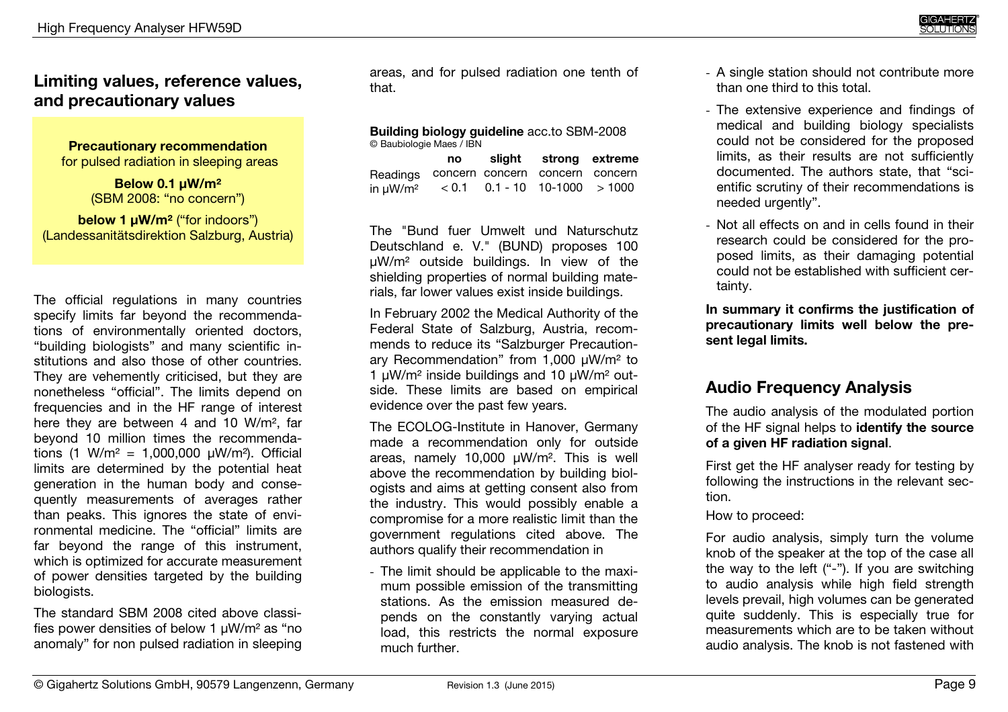## **Limiting values, reference values, and precautionary values**

**Precautionary recommendation**for pulsed radiation in sleeping areas

> **Below 0.1 µW/m²** (SBM 2008: "no concern")

**below 1 µW/m<sup>2</sup> ("for indoors")** (Landessanitätsdirektion Salzburg, Austria)

The official regulations in many countries specify limits far beyond the recommendations of environmentally oriented doctors, "building biologists" and many scientific institutions and also those of other countries. They are vehemently criticised, but they are nonetheless "official". The limits depend on frequencies and in the HF range of interest here they are between 4 and 10 W/m<sup>2</sup>, far beyond 10 million times the recommendations (1 W/m<sup>2</sup> = 1,000,000  $\mu$ W/m<sup>2</sup>). Official limits are determined by the potential heat generation in the human body and consequently measurements of averages rather than peaks. This ignores the state of environmental medicine. The "official" limits are far beyond the range of this instrument, which is optimized for accurate measurement of power densities targeted by the building biologists.

The standard SBM 2008 cited above classifies power densities of below 1 µW/m² as "no anomaly" for non pulsed radiation in sleeping areas, and for pulsed radiation one tenth of that.

**Building biology guideline** acc.to SBM-2008© Baubiologie Maes / IBN

|                                                         | no l | slight strong extreme |  |
|---------------------------------------------------------|------|-----------------------|--|
| Readings concern concern concern concern                |      |                       |  |
| in $\mu$ W/m <sup>2</sup> < 0.1 0.1 - 10 10-1000 > 1000 |      |                       |  |

The "Bund fuer Umwelt und Naturschutz Deutschland e. V." (BUND) proposes 100 µW/m² outside buildings. In view of the shielding properties of normal building materials, far lower values exist inside buildings.

In February 2002 the Medical Authority of the Federal State of Salzburg, Austria, recommends to reduce its "Salzburger Precautionary Recommendation" from 1,000 µW/m² to 1  $\mu$ W/m<sup>2</sup> inside buildings and 10  $\mu$ W/m<sup>2</sup> outside. These limits are based on empirical evidence over the past few years.

The ECOLOG-Institute in Hanover, Germany made a recommendation only for outside areas, namely 10,000 µW/m<sup>2</sup>. This is well above the recommendation by building biologists and aims at getting consent also from the industry. This would possibly enable a compromise for a more realistic limit than the government regulations cited above. The authors qualify their recommendation in

- The limit should be applicable to the maximum possible emission of the transmitting stations. As the emission measured depends on the constantly varying actual load, this restricts the normal exposure much further.

- A single station should not contribute more than one third to this total.
- The extensive experience and findings of medical and building biology specialists could not be considered for the proposed limits, as their results are not sufficiently documented. The authors state, that "scientific scrutiny of their recommendations is needed urgently".
- Not all effects on and in cells found in their research could be considered for the proposed limits, as their damaging potential could not be established with sufficient certainty.

**In summary it confirms the justification of precautionary limits well below the present legal limits.** 

# **Audio Frequency Analysis**

The audio analysis of the modulated portion of the HF signal helps to **identify the source of a given HF radiation signal**.

First get the HF analyser ready for testing by following the instructions in the relevant section.

How to proceed:

For audio analysis, simply turn the volume knob of the speaker at the top of the case all the way to the left ("-"). If you are switching to audio analysis while high field strength levels prevail, high volumes can be generated quite suddenly. This is especially true for measurements which are to be taken without audio analysis. The knob is not fastened with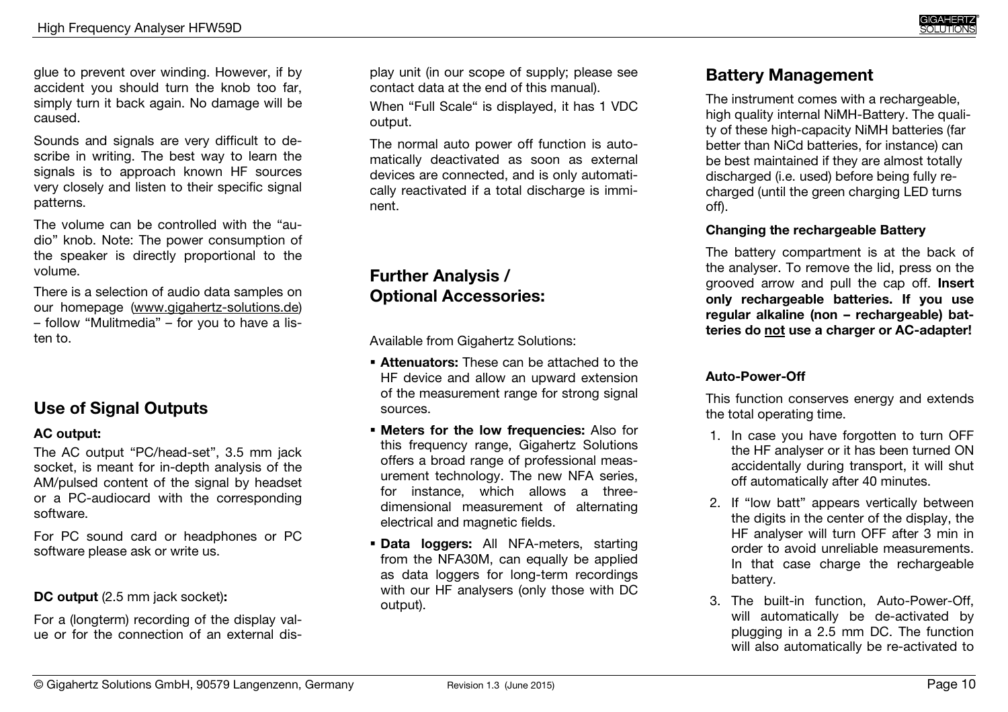glue to prevent over winding. However, if by accident you should turn the knob too far, simply turn it back again. No damage will be caused.

Sounds and signals are very difficult to describe in writing. The best way to learn the signals is to approach known HF sources very closely and listen to their specific signal patterns.

The volume can be controlled with the "audio" knob. Note: The power consumption of the speaker is directly proportional to the volume.

There is a selection of audio data samples on our homepage (www.gigahertz-solutions.de) – follow "Mulitmedia" – for you to have a listen to.

# **Use of Signal Outputs**

#### **AC output:**

The AC output "PC/head-set", 3.5 mm jack socket, is meant for in-depth analysis of the AM/pulsed content of the signal by headset or a PC-audiocard with the corresponding software.

For PC sound card or headphones or PC software please ask or write us.

#### **DC output** (2.5 mm jack socket)**:**

For a (longterm) recording of the display value or for the connection of an external dis-

play unit (in our scope of supply; please see contact data at the end of this manual). When "Full Scale" is displayed, it has 1 VDC output. The normal auto power off function is auto-

matically deactivated as soon as external devices are connected, and is only automati cally reactivated if a total discharge is imminent.

# **Further Analysis / Optional Accessories:**

Available from Gigahertz Solutions:

- **Attenuators:** These can be attached to the HF device and allow an upward extension of the measurement range for strong signal sources.
- **Meters for the low frequencies:** Also for this frequency range, Gigahertz Solutions offers a broad range of professional measurement technology. The new NFA series, for instance, which allows a threedimensional measurement of alternating electrical and magnetic fields.
- **Data loggers:** All NFA-meters, starting from the NFA30M, can equally be applied as data loggers for long-term recordings with our HF analysers (only those with DC output).

# **Battery Management**

The instrument comes with a rechargeable, high quality internal NiMH-Battery. The quality of these high-capacity NiMH batteries (far better than NiCd batteries, for instance) can be best maintained if they are almost totally discharged (i.e. used) before being fully recharged (until the green charging LED turns off).

#### **Changing the rechargeable Battery**

The battery compartment is at the back of the analyser. To remove the lid, press on the grooved arrow and pull the cap off. **Insert only rechargeable batteries. If you use regular alkaline (non – rechargeable) batteries do not use a charger or AC-adapter!**

#### **Auto-Power-Off**

This function conserves energy and extends the total operating time.

- 1. In case you have forgotten to turn OFF the HF analyser or it has been turned ON accidentally during transport, it will shut off automatically after 40 minutes.
- 2. If "low batt" appears vertically between the digits in the center of the display, the HF analyser will turn OFF after 3 min in order to avoid unreliable measurements. In that case charge the rechargeable battery.
- 3. The built-in function, Auto-Power-Off, will automatically be de-activated by plugging in a 2.5 mm DC. The function will also automatically be re-activated to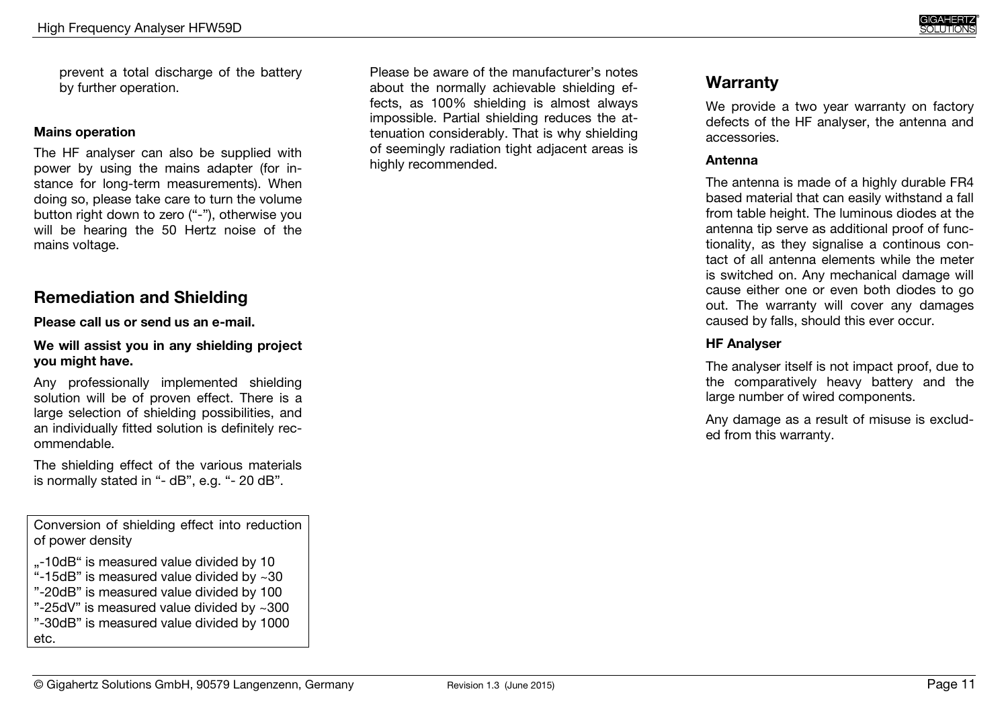prevent a total discharge of the battery by further operation.

#### **Mains operation**

The HF analyser can also be supplied with power by using the mains adapter (for instance for long-term measurements). When doing so, please take care to turn the volume button right down to zero ("-"), otherwise you will be hearing the 50 Hertz noise of the mains voltage.

## **Remediation and Shielding**

#### **Please call us or send us an e-mail.**

#### **We will assist you in any shielding project you might have.**

Any professionally implemented shielding solution will be of proven effect. There is a large selection of shielding possibilities, and an individually fitted solution is definitely recommendable.

The shielding effect of the various materials is normally stated in "- dB", e.g. "- 20 dB".

Conversion of shielding effect into reduction of power density

- "-10dB" is measured value divided by 10
- "-15dB" is measured value divided by ~30
- "-20dB" is measured value divided by 100
- "-25dV" is measured value divided by ~300
- "-30dB" is measured value divided by 1000 etc.

Please be aware of the manufacturer's notes about the normally achievable shielding effects, as 100% shielding is almost always impossible. Partial shielding reduces the attenuation considerably. That is why shielding of seemingly radiation tight adjacent areas is highly recommended.

## **Warranty**

We provide a two year warranty on factory defects of the HF analyser, the antenna and accessories.

#### **Antenna**

The antenna is made of a highly durable FR4 based material that can easily withstand a fall from table height. The luminous diodes at the antenna tip serve as additional proof of functionality, as they signalise a continous contact of all antenna elements while the meter is switched on. Any mechanical damage will cause either one or even both diodes to go out. The warranty will cover any damages caused by falls, should this ever occur.

#### **HF Analyser**

The analyser itself is not impact proof, due to the comparatively heavy battery and the large number of wired components.

Any damage as a result of misuse is excluded from this warranty.